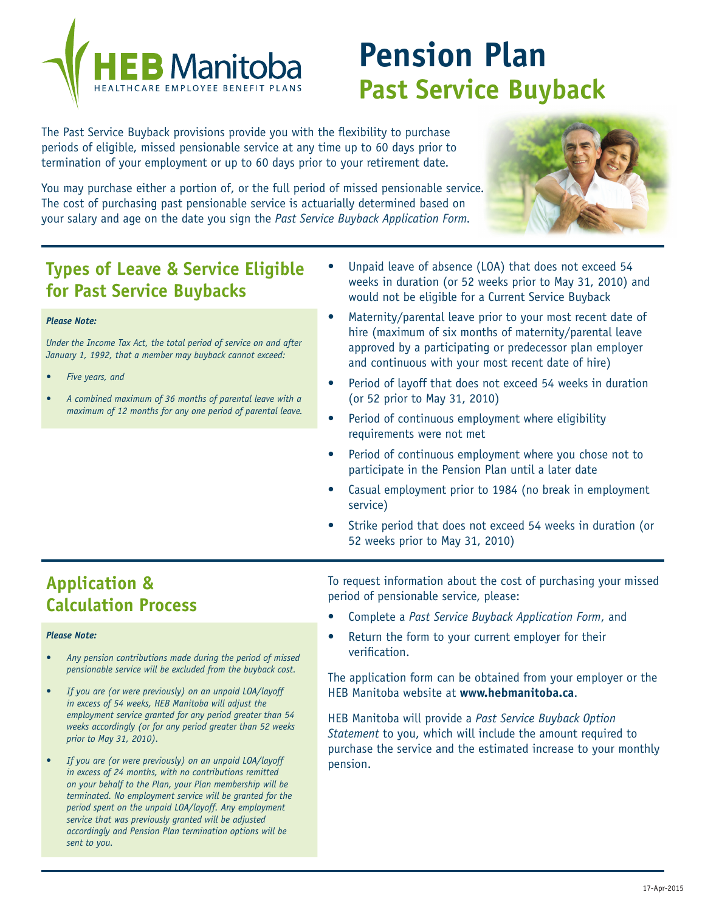

# **Pension Plan Past Service Buyback**

The Past Service Buyback provisions provide you with the flexibility to purchase periods of eligible, missed pensionable service at any time up to 60 days prior to termination of your employment or up to 60 days prior to your retirement date.

You may purchase either a portion of, or the full period of missed pensionable service. The cost of purchasing past pensionable service is actuarially determined based on your salary and age on the date you sign the *Past Service Buyback Application Form.*



## **Types of Leave & Service Eligible for Past Service Buybacks**

#### *Please Note:*

*Under the Income Tax Act, the total period of service on and after January 1, 1992, that a member may buyback cannot exceed:*

- *Five years, and*
- *• A combined maximum of 36 months of parental leave with a maximum of 12 months for any one period of parental leave.*
- Unpaid leave of absence (LOA) that does not exceed 54 weeks in duration (or 52 weeks prior to May 31, 2010) and would not be eligible for a Current Service Buyback
- Maternity/parental leave prior to your most recent date of hire (maximum of six months of maternity/parental leave approved by a participating or predecessor plan employer and continuous with your most recent date of hire)
- Period of layoff that does not exceed 54 weeks in duration (or 52 prior to May 31, 2010)
- Period of continuous employment where eligibility requirements were not met
- Period of continuous employment where you chose not to participate in the Pension Plan until a later date
- Casual employment prior to 1984 (no break in employment service)
- Strike period that does not exceed 54 weeks in duration (or 52 weeks prior to May 31, 2010)

### **Application & Calculation Process**

#### *Please Note:*

- Any pension contributions made during the period of missed *pensionable service will be excluded from the buyback cost.*
- *If you are (or were previously) on an unpaid LOA/layoff in excess of 54 weeks, HEB Manitoba will adjust the employment service granted for any period greater than 54 weeks accordingly (or for any period greater than 52 weeks prior to May 31, 2010).*
- *If you are (or were previously) on an unpaid LOA/layoff in excess of 24 months, with no contributions remitted on your behalf to the Plan, your Plan membership will be terminated. No employment service will be granted for the period spent on the unpaid LOA/layoff. Any employment service that was previously granted will be adjusted accordingly and Pension Plan termination options will be sent to you.*

To request information about the cost of purchasing your missed period of pensionable service, please:

- Complete a *Past Service Buyback Application Form*, and
- Return the form to your current employer for their verification.

The application form can be obtained from your employer or the HEB Manitoba website at **www.hebmanitoba.ca**.

HEB Manitoba will provide a *Past Service Buyback Option Statement* to you, which will include the amount required to purchase the service and the estimated increase to your monthly pension.